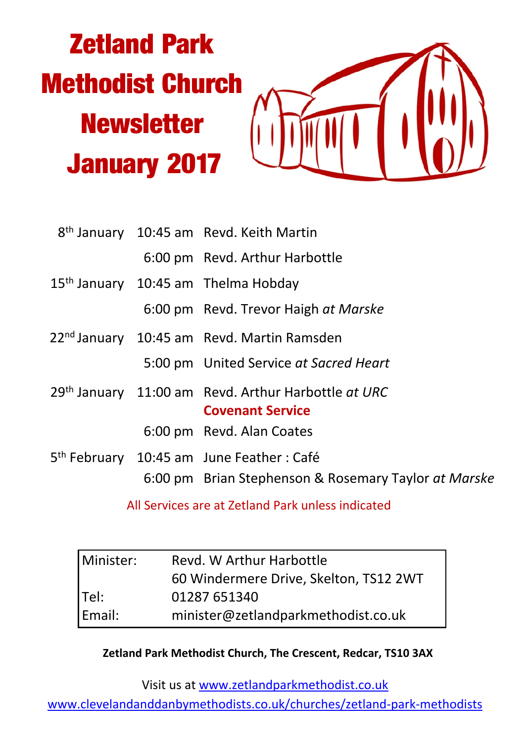# **Zetland Park Methodist Church Newsletter January 2017**



|  | 8 <sup>th</sup> January 10:45 am Revd. Keith Martin                                                           |  |  |
|--|---------------------------------------------------------------------------------------------------------------|--|--|
|  | 6:00 pm Revd. Arthur Harbottle                                                                                |  |  |
|  | 15 <sup>th</sup> January 10:45 am Thelma Hobday                                                               |  |  |
|  | 6:00 pm Revd. Trevor Haigh at Marske                                                                          |  |  |
|  | 22 <sup>nd</sup> January 10:45 am Revd. Martin Ramsden                                                        |  |  |
|  | 5:00 pm United Service at Sacred Heart                                                                        |  |  |
|  | 29th January 11:00 am Revd. Arthur Harbottle at URC<br><b>Covenant Service</b>                                |  |  |
|  | 6:00 pm Revd. Alan Coates                                                                                     |  |  |
|  | 5 <sup>th</sup> February 10:45 am June Feather : Café<br>6:00 pm Brian Stephenson & Rosemary Taylor at Marske |  |  |
|  |                                                                                                               |  |  |

All Services are at Zetland Park unless indicated

| Minister: | Revd. W Arthur Harbottle               |  |
|-----------|----------------------------------------|--|
|           | 60 Windermere Drive, Skelton, TS12 2WT |  |
| Tel:      | 01287 651340                           |  |
| Email:    | minister@zetlandparkmethodist.co.uk    |  |

#### **Zetland Park Methodist Church, The Crescent, Redcar, TS10 3AX**

Visit us at www.zetlandparkmethodist.co.uk

www.clevelandanddanbymethodists.co.uk/churches/zetland-park-methodists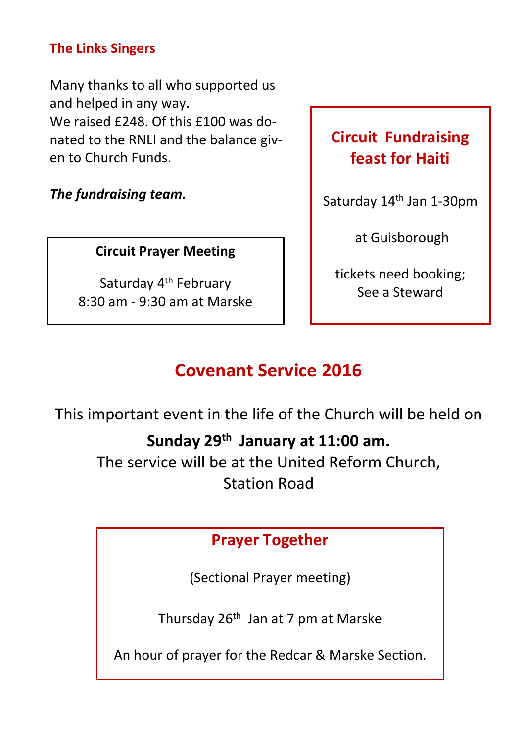#### **The Links Singers**

Many thanks to all who supported us and helped in any way. We raised £248. Of this £100 was donated to the RNLI and the balance given to Church Funds.

*The fundraising team.*

#### **Circuit Prayer Meeting**

Saturday 4th February 8:30 am - 9:30 am at Marske

## **Circuit Fundraising feast for Haiti**

Saturday 14th Jan 1-30pm

at Guisborough

tickets need booking; See a Steward

# **Covenant Service 2016**

This important event in the life of the Church will be held on

## **Sunday 29th January at 11:00 am.**

The service will be at the United Reform Church, Station Road

## **Prayer Together**

(Sectional Prayer meeting)

Thursday 26th Jan at 7 pm at Marske

An hour of prayer for the Redcar & Marske Section.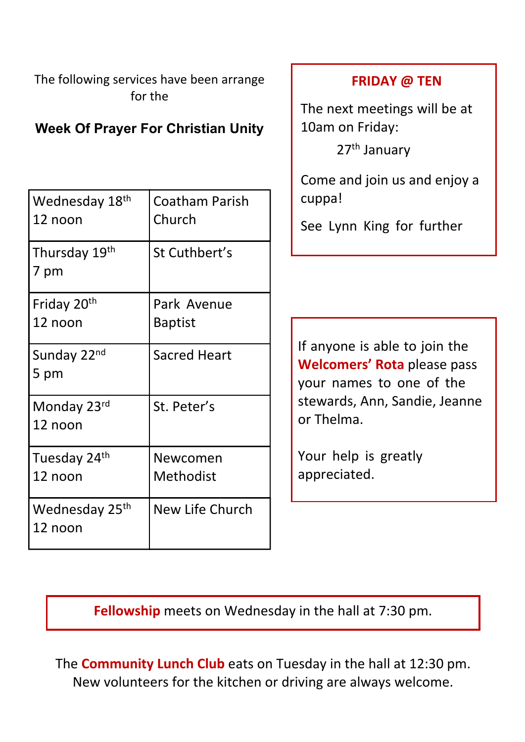The following services have been arrange for the

### **Week Of Prayer For Christian Unity**

| Wednesday 18th<br>12 noon             | Coatham Parish<br>Church      |
|---------------------------------------|-------------------------------|
| Thursday 19th<br>7 pm                 | St Cuthbert's                 |
| Friday 20 <sup>th</sup><br>12 noon    | Park Avenue<br><b>Baptist</b> |
| Sunday 22 <sup>nd</sup><br>5 pm       | <b>Sacred Heart</b>           |
| Monday 23rd<br>12 noon                | St. Peter's                   |
| Tuesday 24th<br>12 noon               | Newcomen<br>Methodist         |
| Wednesday 25 <sup>th</sup><br>12 noon | New Life Church               |

#### **FRIDAY @ TEN**

The next meetings will be at 10am on Friday:

27th January

Come and join us and enjoy a cuppa!

See Lynn King for further

If anyone is able to join the **Welcomers' Rota** please pass your names to one of the stewards, Ann, Sandie, Jeanne or Thelma.

Your help is greatly appreciated.

**Fellowship** meets on Wednesday in the hall at 7:30 pm.

The **Community Lunch Club** eats on Tuesday in the hall at 12:30 pm. New volunteers for the kitchen or driving are always welcome.